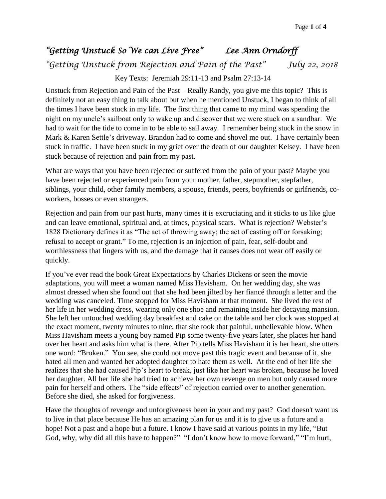## *"Getting Unstuck So We can Live Free" Lee Ann Orndorff*

*"Getting Unstuck from Rejection and Pain of the Past" July 22, 2018*

Key Texts: Jeremiah 29:11-13 and Psalm 27:13-14

Unstuck from Rejection and Pain of the Past – Really Randy, you give me this topic? This is definitely not an easy thing to talk about but when he mentioned Unstuck, I began to think of all the times I have been stuck in my life. The first thing that came to my mind was spending the night on my uncle's sailboat only to wake up and discover that we were stuck on a sandbar. We had to wait for the tide to come in to be able to sail away. I remember being stuck in the snow in Mark & Karen Settle's driveway. Brandon had to come and shovel me out. I have certainly been stuck in traffic. I have been stuck in my grief over the death of our daughter Kelsey. I have been stuck because of rejection and pain from my past.

What are ways that you have been rejected or suffered from the pain of your past? Maybe you have been rejected or experienced pain from your mother, father, stepmother, stepfather, siblings, your child, other family members, a spouse, friends, peers, boyfriends or girlfriends, coworkers, bosses or even strangers.

Rejection and pain from our past hurts, many times it is excruciating and it sticks to us like glue and can leave emotional, spiritual and, at times, physical scars. What is rejection? Webster's 1828 Dictionary defines it as "The act of throwing away; the act of casting off or forsaking; refusal to accept or grant." To me, rejection is an injection of pain, fear, self-doubt and worthlessness that lingers with us, and the damage that it causes does not wear off easily or quickly.

If you've ever read the book Great Expectations by Charles Dickens or seen the movie adaptations, you will meet a woman named Miss Havisham. On her wedding day, she was almost dressed when she found out that she had been jilted by her fiancé through a letter and the wedding was canceled. Time stopped for Miss Havisham at that moment. She lived the rest of her life in her wedding dress, wearing only one shoe and remaining inside her decaying mansion. She left her untouched wedding day breakfast and cake on the table and her clock was stopped at the exact moment, twenty minutes to nine, that she took that painful, unbelievable blow. When Miss Havisham meets a young boy named Pip some twenty-five years later, she places her hand over her heart and asks him what is there. After Pip tells Miss Havisham it is her heart, she utters one word: "Broken." You see, she could not move past this tragic event and because of it, she hated all men and wanted her adopted daughter to hate them as well. At the end of her life she realizes that she had caused Pip's heart to break, just like her heart was broken, because he loved her daughter. All her life she had tried to achieve her own revenge on men but only caused more pain for herself and others. The "side effects" of rejection carried over to another generation. Before she died, she asked for forgiveness.

Have the thoughts of revenge and unforgiveness been in your and my past? God doesn't want us to live in that place because He has an amazing plan for us and it is to give us a future and a hope! Not a past and a hope but a future. I know I have said at various points in my life, "But God, why, why did all this have to happen?" "I don't know how to move forward," "I'm hurt,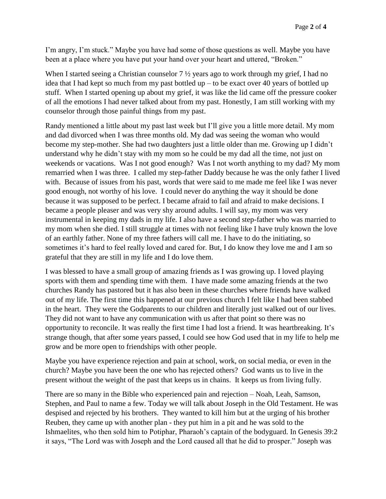I'm angry, I'm stuck." Maybe you have had some of those questions as well. Maybe you have been at a place where you have put your hand over your heart and uttered, "Broken."

When I started seeing a Christian counselor  $7\frac{1}{2}$  years ago to work through my grief. I had no idea that I had kept so much from my past bottled up – to be exact over 40 years of bottled up stuff. When I started opening up about my grief, it was like the lid came off the pressure cooker of all the emotions I had never talked about from my past. Honestly, I am still working with my counselor through those painful things from my past.

Randy mentioned a little about my past last week but I'll give you a little more detail. My mom and dad divorced when I was three months old. My dad was seeing the woman who would become my step-mother. She had two daughters just a little older than me. Growing up I didn't understand why he didn't stay with my mom so he could be my dad all the time, not just on weekends or vacations. Was I not good enough? Was I not worth anything to my dad? My mom remarried when I was three. I called my step-father Daddy because he was the only father I lived with. Because of issues from his past, words that were said to me made me feel like I was never good enough, not worthy of his love. I could never do anything the way it should be done because it was supposed to be perfect. I became afraid to fail and afraid to make decisions. I became a people pleaser and was very shy around adults. I will say, my mom was very instrumental in keeping my dads in my life. I also have a second step-father who was married to my mom when she died. I still struggle at times with not feeling like I have truly known the love of an earthly father. None of my three fathers will call me. I have to do the initiating, so sometimes it's hard to feel really loved and cared for. But, I do know they love me and I am so grateful that they are still in my life and I do love them.

I was blessed to have a small group of amazing friends as I was growing up. I loved playing sports with them and spending time with them. I have made some amazing friends at the two churches Randy has pastored but it has also been in these churches where friends have walked out of my life. The first time this happened at our previous church I felt like I had been stabbed in the heart. They were the Godparents to our children and literally just walked out of our lives. They did not want to have any communication with us after that point so there was no opportunity to reconcile. It was really the first time I had lost a friend. It was heartbreaking. It's strange though, that after some years passed, I could see how God used that in my life to help me grow and be more open to friendships with other people.

Maybe you have experience rejection and pain at school, work, on social media, or even in the church? Maybe you have been the one who has rejected others? God wants us to live in the present without the weight of the past that keeps us in chains. It keeps us from living fully.

There are so many in the Bible who experienced pain and rejection – Noah, Leah, Samson, Stephen, and Paul to name a few. Today we will talk about Joseph in the Old Testament. He was despised and rejected by his brothers. They wanted to kill him but at the urging of his brother Reuben, they came up with another plan - they put him in a pit and he was sold to the Ishmaelites, who then sold him to Potiphar, Pharaoh's captain of the bodyguard. In Genesis 39:2 it says, "The Lord was with Joseph and the Lord caused all that he did to prosper." Joseph was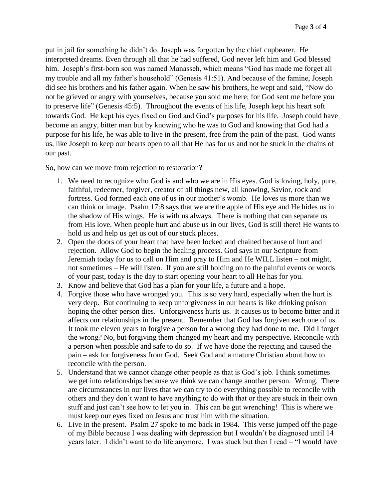put in jail for something he didn't do. Joseph was forgotten by the chief cupbearer. He interpreted dreams. Even through all that he had suffered, God never left him and God blessed him. Joseph's first-born son was named Manasseh, which means "God has made me forget all my trouble and all my father's household" (Genesis 41:51). And because of the famine, Joseph did see his brothers and his father again. When he saw his brothers, he wept and said, "Now do not be grieved or angry with yourselves, because you sold me here; for God sent me before you to preserve life" (Genesis 45:5). Throughout the events of his life, Joseph kept his heart soft towards God. He kept his eyes fixed on God and God's purposes for his life. Joseph could have become an angry, bitter man but by knowing who he was to God and knowing that God had a purpose for his life, he was able to live in the present, free from the pain of the past. God wants us, like Joseph to keep our hearts open to all that He has for us and not be stuck in the chains of our past.

So, how can we move from rejection to restoration?

- 1. We need to recognize who God is and who we are in His eyes. God is loving, holy, pure, faithful, redeemer, forgiver, creator of all things new, all knowing, Savior, rock and fortress. God formed each one of us in our mother's womb. He loves us more than we can think or image. Psalm 17:8 says that we are the apple of His eye and He hides us in the shadow of His wings. He is with us always. There is nothing that can separate us from His love. When people hurt and abuse us in our lives, God is still there! He wants to hold us and help us get us out of our stuck places.
- 2. Open the doors of your heart that have been locked and chained because of hurt and rejection. Allow God to begin the healing process. God says in our Scripture from Jeremiah today for us to call on Him and pray to Him and He WILL listen – not might, not sometimes – He will listen. If you are still holding on to the painful events or words of your past, today is the day to start opening your heart to all He has for you.
- 3. Know and believe that God has a plan for your life, a future and a hope.
- 4. Forgive those who have wronged you. This is so very hard, especially when the hurt is very deep. But continuing to keep unforgiveness in our hearts is like drinking poison hoping the other person dies. Unforgiveness hurts us. It causes us to become bitter and it affects our relationships in the present. Remember that God has forgiven each one of us. It took me eleven years to forgive a person for a wrong they had done to me. Did I forget the wrong? No, but forgiving them changed my heart and my perspective. Reconcile with a person when possible and safe to do so. If we have done the rejecting and caused the pain – ask for forgiveness from God. Seek God and a mature Christian about how to reconcile with the person.
- 5. Understand that we cannot change other people as that is God's job. I think sometimes we get into relationships because we think we can change another person. Wrong. There are circumstances in our lives that we can try to do everything possible to reconcile with others and they don't want to have anything to do with that or they are stuck in their own stuff and just can't see how to let you in. This can be gut wrenching! This is where we must keep our eyes fixed on Jesus and trust him with the situation.
- 6. Live in the present. Psalm 27 spoke to me back in 1984. This verse jumped off the page of my Bible because I was dealing with depression but I wouldn't be diagnosed until 14 years later. I didn't want to do life anymore. I was stuck but then I read – "I would have